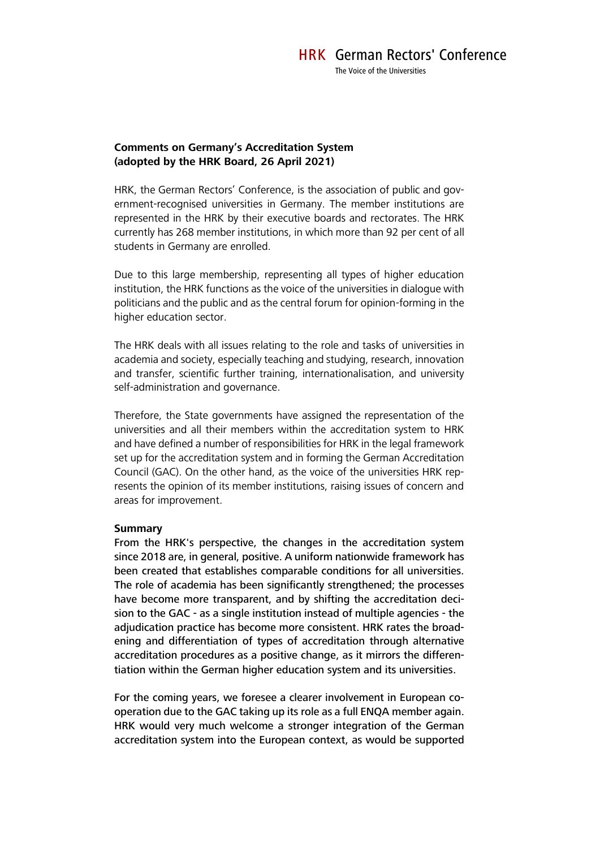### **Comments on Germany's Accreditation System (adopted by the HRK Board, 26 April 2021)**

HRK, the German Rectors' Conference, is the association of public and government-recognised universities in Germany. The member institutions are represented in the HRK by their executive boards and rectorates. The HRK currently has 268 member institutions, in which more than 92 per cent of all students in Germany are enrolled.

Due to this large membership, representing all types of higher education institution, the HRK functions as the voice of the universities in dialogue with politicians and the public and as the central forum for opinion-forming in the higher education sector.

The HRK deals with all issues relating to the role and tasks of universities in academia and society, especially teaching and studying, research, innovation and transfer, scientific further training, internationalisation, and university self-administration and governance.

Therefore, the State governments have assigned the representation of the universities and all their members within the accreditation system to HRK and have defined a number of responsibilities for HRK in the legal framework set up for the accreditation system and in forming the German Accreditation Council (GAC). On the other hand, as the voice of the universities HRK represents the opinion of its member institutions, raising issues of concern and areas for improvement.

#### **Summary**

From the HRK's perspective, the changes in the accreditation system since 2018 are, in general, positive. A uniform nationwide framework has been created that establishes comparable conditions for all universities. The role of academia has been significantly strengthened; the processes have become more transparent, and by shifting the accreditation decision to the GAC - as a single institution instead of multiple agencies - the adjudication practice has become more consistent. HRK rates the broadening and differentiation of types of accreditation through alternative accreditation procedures as a positive change, as it mirrors the differentiation within the German higher education system and its universities.

For the coming years, we foresee a clearer involvement in European cooperation due to the GAC taking up its role as a full ENQA member again. HRK would very much welcome a stronger integration of the German accreditation system into the European context, as would be supported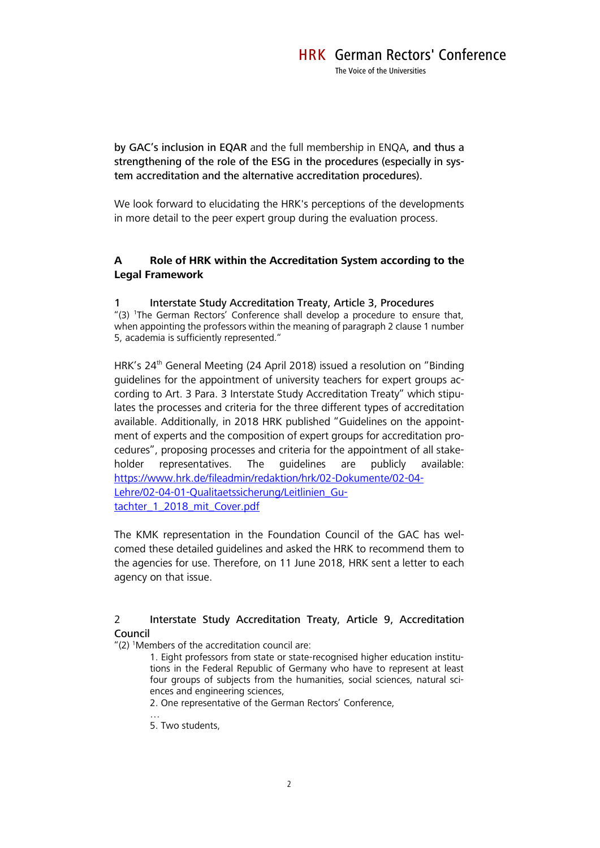by GAC's inclusion in EQAR and the full membership in ENQA, and thus a strengthening of the role of the ESG in the procedures (especially in system accreditation and the alternative accreditation procedures).

We look forward to elucidating the HRK's perceptions of the developments in more detail to the peer expert group during the evaluation process.

# **A Role of HRK within the Accreditation System according to the Legal Framework**

### 1 Interstate Study Accreditation Treaty, Article 3, Procedures

"(3) <sup>1</sup>The German Rectors' Conference shall develop a procedure to ensure that, when appointing the professors within the meaning of paragraph 2 clause 1 number 5, academia is sufficiently represented."

HRK's 24<sup>th</sup> General Meeting (24 April 2018) issued a resolution on "Binding guidelines for the appointment of university teachers for expert groups according to Art. 3 Para. 3 Interstate Study Accreditation Treaty" which stipulates the processes and criteria for the three different types of accreditation available. Additionally, in 2018 HRK published "Guidelines on the appointment of experts and the composition of expert groups for accreditation procedures", proposing processes and criteria for the appointment of all stakeholder representatives. The guidelines are publicly available: [https://www.hrk.de/fileadmin/redaktion/hrk/02-Dokumente/02-04-](https://www.hrk.de/fileadmin/redaktion/hrk/02-Dokumente/02-04-Lehre/02-04-01-Qualitaetssicherung/Leitlinien_Gutachter_1_2018_mit_Cover.pdf) [Lehre/02-04-01-Qualitaetssicherung/Leitlinien\\_Gu](https://www.hrk.de/fileadmin/redaktion/hrk/02-Dokumente/02-04-Lehre/02-04-01-Qualitaetssicherung/Leitlinien_Gutachter_1_2018_mit_Cover.pdf)[tachter\\_1\\_2018\\_mit\\_Cover.pdf](https://www.hrk.de/fileadmin/redaktion/hrk/02-Dokumente/02-04-Lehre/02-04-01-Qualitaetssicherung/Leitlinien_Gutachter_1_2018_mit_Cover.pdf)

The KMK representation in the Foundation Council of the GAC has welcomed these detailed guidelines and asked the HRK to recommend them to the agencies for use. Therefore, on 11 June 2018, HRK sent a letter to each agency on that issue.

### 2 Interstate Study Accreditation Treaty, Article 9, Accreditation Council

" $(2)$  <sup>1</sup>Members of the accreditation council are:

1. Eight professors from state or state-recognised higher education institutions in the Federal Republic of Germany who have to represent at least four groups of subjects from the humanities, social sciences, natural sciences and engineering sciences,

2. One representative of the German Rectors' Conference,

…

5. Two students,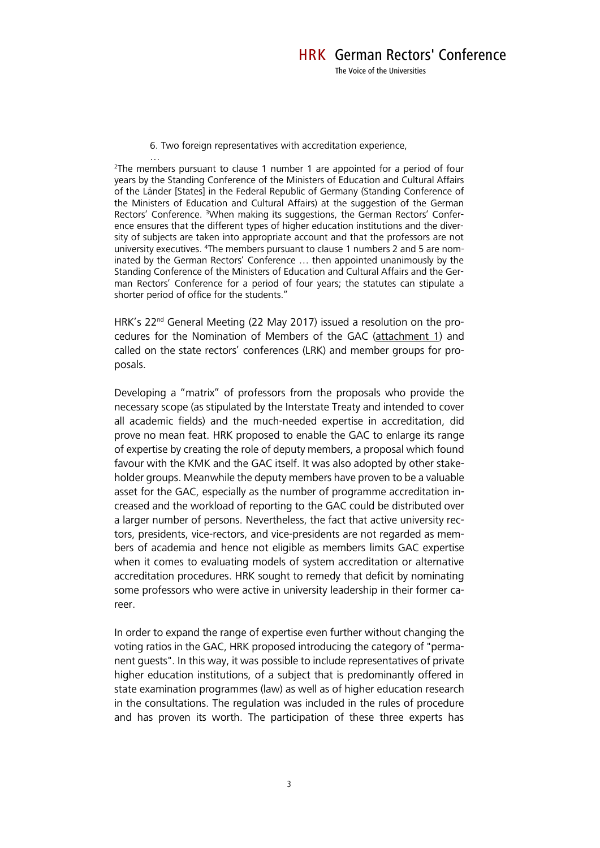6. Two foreign representatives with accreditation experience,

…  $2$ The members pursuant to clause 1 number 1 are appointed for a period of four years by the Standing Conference of the Ministers of Education and Cultural Affairs of the Länder [States] in the Federal Republic of Germany (Standing Conference of the Ministers of Education and Cultural Affairs) at the suggestion of the German Rectors' Conference. <sup>3</sup>When making its suggestions, the German Rectors' Conference ensures that the different types of higher education institutions and the diversity of subjects are taken into appropriate account and that the professors are not university executives. 4The members pursuant to clause 1 numbers 2 and 5 are nominated by the German Rectors' Conference … then appointed unanimously by the Standing Conference of the Ministers of Education and Cultural Affairs and the German Rectors' Conference for a period of four years; the statutes can stipulate a shorter period of office for the students."

HRK's 22<sup>nd</sup> General Meeting (22 May 2017) issued a resolution on the procedures for the Nomination of Members of the GAC (attachment 1) and called on the state rectors' conferences (LRK) and member groups for proposals.

Developing a "matrix" of professors from the proposals who provide the necessary scope (as stipulated by the Interstate Treaty and intended to cover all academic fields) and the much-needed expertise in accreditation, did prove no mean feat. HRK proposed to enable the GAC to enlarge its range of expertise by creating the role of deputy members, a proposal which found favour with the KMK and the GAC itself. It was also adopted by other stakeholder groups. Meanwhile the deputy members have proven to be a valuable asset for the GAC, especially as the number of programme accreditation increased and the workload of reporting to the GAC could be distributed over a larger number of persons. Nevertheless, the fact that active university rectors, presidents, vice-rectors, and vice-presidents are not regarded as members of academia and hence not eligible as members limits GAC expertise when it comes to evaluating models of system accreditation or alternative accreditation procedures. HRK sought to remedy that deficit by nominating some professors who were active in university leadership in their former career.

In order to expand the range of expertise even further without changing the voting ratios in the GAC, HRK proposed introducing the category of "permanent guests". In this way, it was possible to include representatives of private higher education institutions, of a subject that is predominantly offered in state examination programmes (law) as well as of higher education research in the consultations. The regulation was included in the rules of procedure and has proven its worth. The participation of these three experts has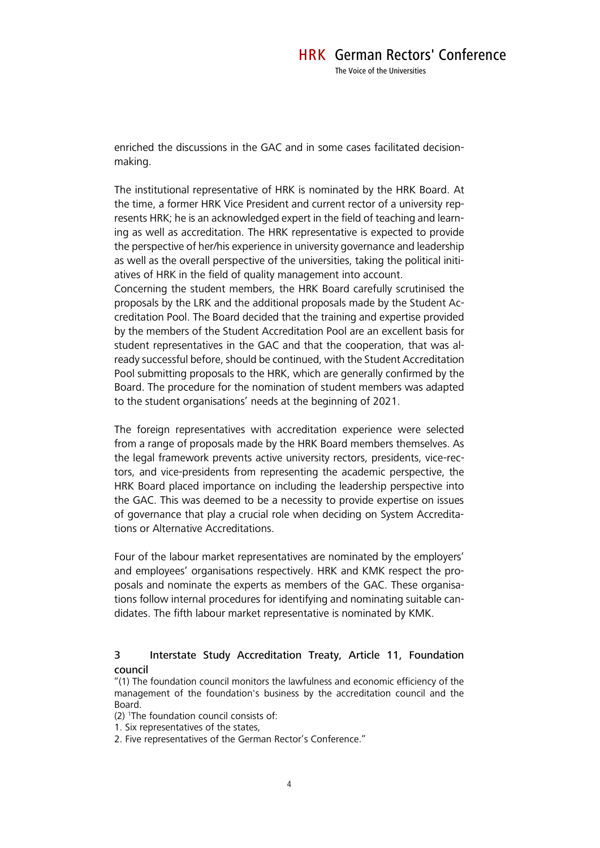enriched the discussions in the GAC and in some cases facilitated decisionmaking.

The institutional representative of HRK is nominated by the HRK Board. At the time, a former HRK Vice President and current rector of a university represents HRK; he is an acknowledged expert in the field of teaching and learning as well as accreditation. The HRK representative is expected to provide the perspective of her/his experience in university governance and leadership as well as the overall perspective of the universities, taking the political initiatives of HRK in the field of quality management into account.

Concerning the student members, the HRK Board carefully scrutinised the proposals by the LRK and the additional proposals made by the Student Accreditation Pool. The Board decided that the training and expertise provided by the members of the Student Accreditation Pool are an excellent basis for student representatives in the GAC and that the cooperation, that was already successful before, should be continued, with the Student Accreditation Pool submitting proposals to the HRK, which are generally confirmed by the Board. The procedure for the nomination of student members was adapted to the student organisations' needs at the beginning of 2021.

The foreign representatives with accreditation experience were selected from a range of proposals made by the HRK Board members themselves. As the legal framework prevents active university rectors, presidents, vice-rectors, and vice-presidents from representing the academic perspective, the HRK Board placed importance on including the leadership perspective into the GAC. This was deemed to be a necessity to provide expertise on issues of governance that play a crucial role when deciding on System Accreditations or Alternative Accreditations.

Four of the labour market representatives are nominated by the employers' and employees' organisations respectively. HRK and KMK respect the proposals and nominate the experts as members of the GAC. These organisations follow internal procedures for identifying and nominating suitable candidates. The fifth labour market representative is nominated by KMK.

## 3 Interstate Study Accreditation Treaty, Article 11, Foundation council

"(1) The foundation council monitors the lawfulness and economic efficiency of the management of the foundation's business by the accreditation council and the Board.

(2) <sup>1</sup>The foundation council consists of:

1. Six representatives of the states,

2. Five representatives of the German Rector's Conference."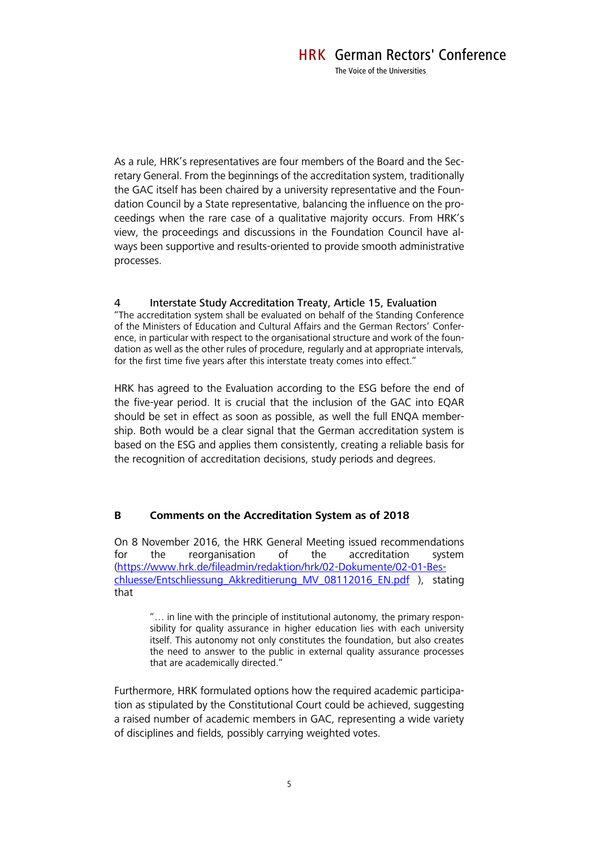As a rule, HRK's representatives are four members of the Board and the Secretary General. From the beginnings of the accreditation system, traditionally the GAC itself has been chaired by a university representative and the Foundation Council by a State representative, balancing the influence on the proceedings when the rare case of a qualitative majority occurs. From HRK's view, the proceedings and discussions in the Foundation Council have always been supportive and results-oriented to provide smooth administrative processes.

### 4 Interstate Study Accreditation Treaty, Article 15, Evaluation

"The accreditation system shall be evaluated on behalf of the Standing Conference of the Ministers of Education and Cultural Affairs and the German Rectors' Conference, in particular with respect to the organisational structure and work of the foundation as well as the other rules of procedure, regularly and at appropriate intervals, for the first time five years after this interstate treaty comes into effect."

HRK has agreed to the Evaluation according to the ESG before the end of the five-year period. It is crucial that the inclusion of the GAC into EQAR should be set in effect as soon as possible, as well the full ENQA membership. Both would be a clear signal that the German accreditation system is based on the ESG and applies them consistently, creating a reliable basis for the recognition of accreditation decisions, study periods and degrees.

## **B Comments on the Accreditation System as of 2018**

On 8 November 2016, the HRK General Meeting issued recommendations for the reorganisation of the accreditation system [\(https://www.hrk.de/fileadmin/redaktion/hrk/02-Dokumente/02-01-Bes](https://www.hrk.de/fileadmin/redaktion/hrk/02-Dokumente/02-01-Beschluesse/Entschliessung_Akkreditierung_MV_08112016_EN.pdf)[chluesse/Entschliessung\\_Akkreditierung\\_MV\\_08112016\\_EN.pdf](https://www.hrk.de/fileadmin/redaktion/hrk/02-Dokumente/02-01-Beschluesse/Entschliessung_Akkreditierung_MV_08112016_EN.pdf) ), stating that

"… in line with the principle of institutional autonomy, the primary responsibility for quality assurance in higher education lies with each university itself. This autonomy not only constitutes the foundation, but also creates the need to answer to the public in external quality assurance processes that are academically directed."

Furthermore, HRK formulated options how the required academic participation as stipulated by the Constitutional Court could be achieved, suggesting a raised number of academic members in GAC, representing a wide variety of disciplines and fields, possibly carrying weighted votes.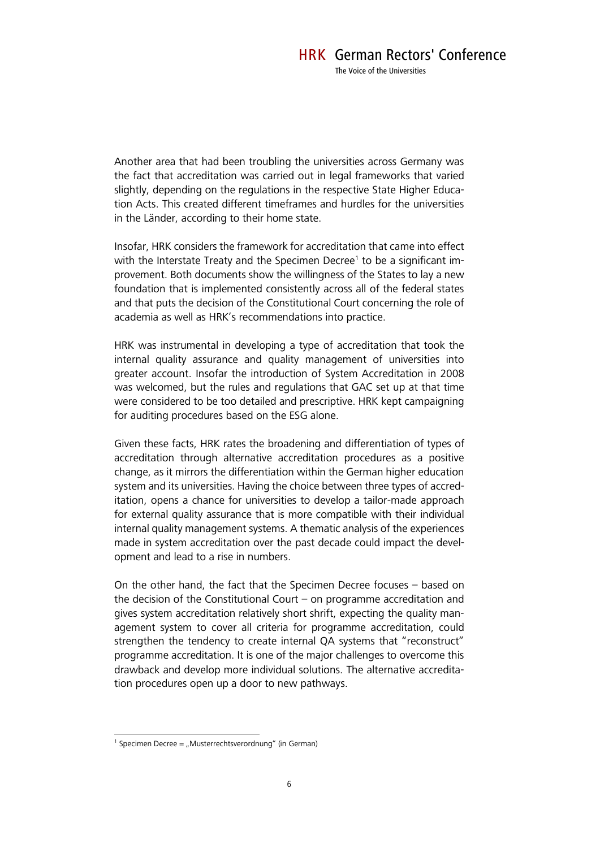Another area that had been troubling the universities across Germany was the fact that accreditation was carried out in legal frameworks that varied slightly, depending on the regulations in the respective State Higher Education Acts. This created different timeframes and hurdles for the universities in the Länder, according to their home state.

Insofar, HRK considers the framework for accreditation that came into effect with the Interstate Treaty and the Specimen Decree<sup>1</sup> to be a significant improvement. Both documents show the willingness of the States to lay a new foundation that is implemented consistently across all of the federal states and that puts the decision of the Constitutional Court concerning the role of academia as well as HRK's recommendations into practice.

HRK was instrumental in developing a type of accreditation that took the internal quality assurance and quality management of universities into greater account. Insofar the introduction of System Accreditation in 2008 was welcomed, but the rules and regulations that GAC set up at that time were considered to be too detailed and prescriptive. HRK kept campaigning for auditing procedures based on the ESG alone.

Given these facts, HRK rates the broadening and differentiation of types of accreditation through alternative accreditation procedures as a positive change, as it mirrors the differentiation within the German higher education system and its universities. Having the choice between three types of accreditation, opens a chance for universities to develop a tailor-made approach for external quality assurance that is more compatible with their individual internal quality management systems. A thematic analysis of the experiences made in system accreditation over the past decade could impact the development and lead to a rise in numbers.

On the other hand, the fact that the Specimen Decree focuses – based on the decision of the Constitutional Court – on programme accreditation and gives system accreditation relatively short shrift, expecting the quality management system to cover all criteria for programme accreditation, could strengthen the tendency to create internal QA systems that "reconstruct" programme accreditation. It is one of the major challenges to overcome this drawback and develop more individual solutions. The alternative accreditation procedures open up a door to new pathways.

<sup>&</sup>lt;sup>1</sup> Specimen Decree = "Musterrechtsverordnung" (in German)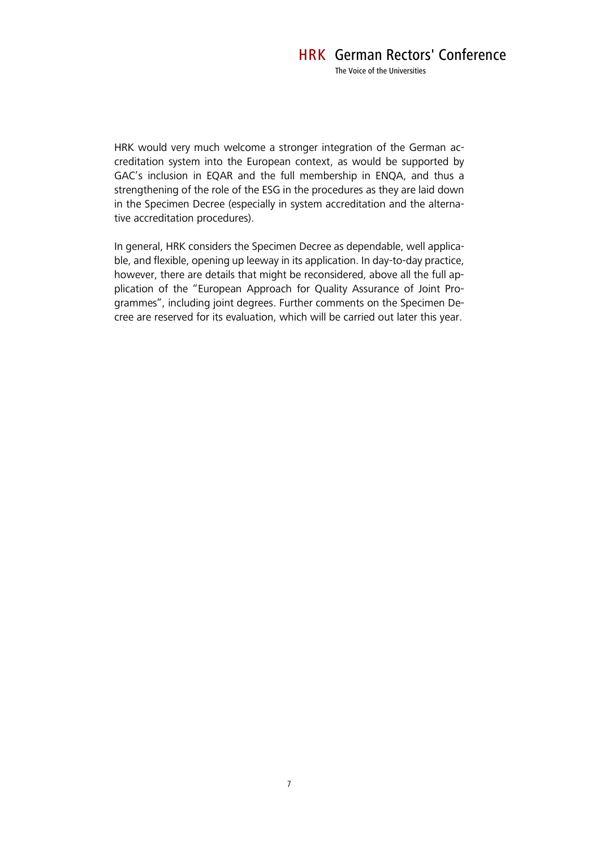HRK would very much welcome a stronger integration of the German accreditation system into the European context, as would be supported by GAC's inclusion in EQAR and the full membership in ENQA, and thus a strengthening of the role of the ESG in the procedures as they are laid down in the Specimen Decree (especially in system accreditation and the alternative accreditation procedures).

In general, HRK considers the Specimen Decree as dependable, well applicable, and flexible, opening up leeway in its application. In day-to-day practice, however, there are details that might be reconsidered, above all the full application of the "European Approach for Quality Assurance of Joint Programmes", including joint degrees. Further comments on the Specimen Decree are reserved for its evaluation, which will be carried out later this year.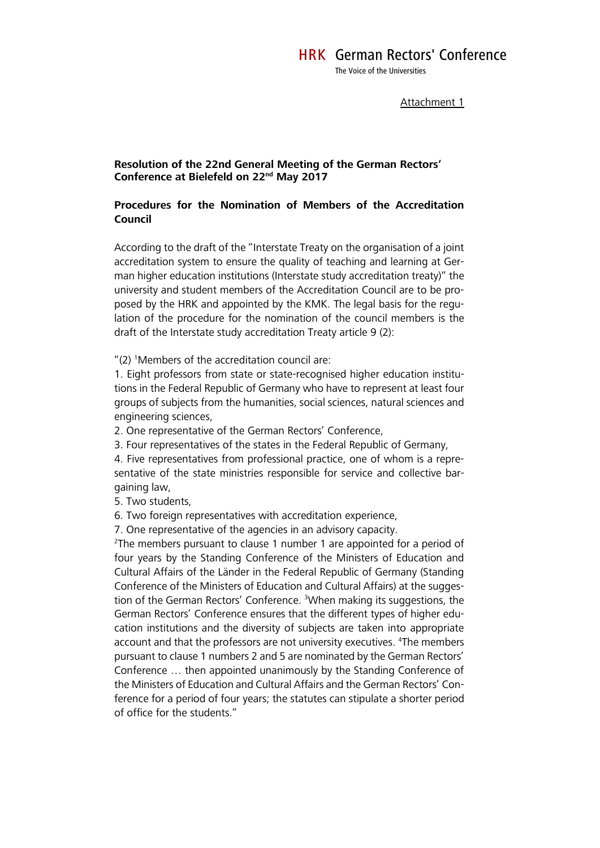Attachment 1

### **Resolution of the 22nd General Meeting of the German Rectors' Conference at Bielefeld on 22nd May 2017**

# **Procedures for the Nomination of Members of the Accreditation Council**

According to the draft of the "Interstate Treaty on the organisation of a joint accreditation system to ensure the quality of teaching and learning at German higher education institutions (Interstate study accreditation treaty)" the university and student members of the Accreditation Council are to be proposed by the HRK and appointed by the KMK. The legal basis for the regulation of the procedure for the nomination of the council members is the draft of the Interstate study accreditation Treaty article 9 (2):

" $(2)$  <sup>1</sup>Members of the accreditation council are:

1. Eight professors from state or state-recognised higher education institutions in the Federal Republic of Germany who have to represent at least four groups of subjects from the humanities, social sciences, natural sciences and engineering sciences,

2. One representative of the German Rectors' Conference,

3. Four representatives of the states in the Federal Republic of Germany,

4. Five representatives from professional practice, one of whom is a representative of the state ministries responsible for service and collective bargaining law,

5. Two students,

6. Two foreign representatives with accreditation experience,

7. One representative of the agencies in an advisory capacity.

<sup>2</sup>The members pursuant to clause 1 number 1 are appointed for a period of four years by the Standing Conference of the Ministers of Education and Cultural Affairs of the Länder in the Federal Republic of Germany (Standing Conference of the Ministers of Education and Cultural Affairs) at the suggestion of the German Rectors' Conference. <sup>3</sup>When making its suggestions, the German Rectors' Conference ensures that the different types of higher education institutions and the diversity of subjects are taken into appropriate account and that the professors are not university executives. <sup>4</sup>The members pursuant to clause 1 numbers 2 and 5 are nominated by the German Rectors' Conference … then appointed unanimously by the Standing Conference of the Ministers of Education and Cultural Affairs and the German Rectors' Conference for a period of four years; the statutes can stipulate a shorter period of office for the students."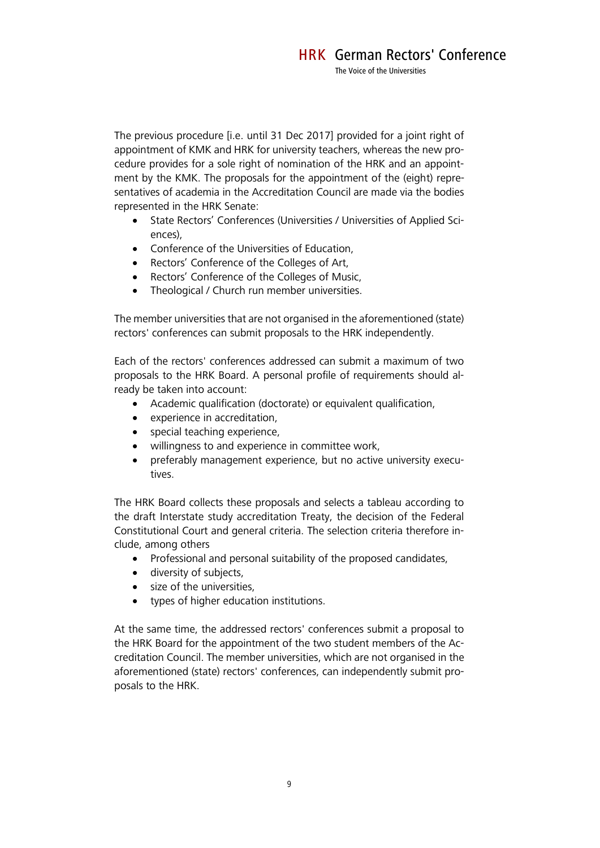The previous procedure [i.e. until 31 Dec 2017] provided for a joint right of appointment of KMK and HRK for university teachers, whereas the new procedure provides for a sole right of nomination of the HRK and an appointment by the KMK. The proposals for the appointment of the (eight) representatives of academia in the Accreditation Council are made via the bodies represented in the HRK Senate:

- State Rectors' Conferences (Universities / Universities of Applied Sciences),
- Conference of the Universities of Education,
- Rectors' Conference of the Colleges of Art,
- Rectors' Conference of the Colleges of Music,
- Theological / Church run member universities.

The member universities that are not organised in the aforementioned (state) rectors' conferences can submit proposals to the HRK independently.

Each of the rectors' conferences addressed can submit a maximum of two proposals to the HRK Board. A personal profile of requirements should already be taken into account:

- Academic qualification (doctorate) or equivalent qualification,
- experience in accreditation,
- special teaching experience,
- willingness to and experience in committee work,
- preferably management experience, but no active university executives.

The HRK Board collects these proposals and selects a tableau according to the draft Interstate study accreditation Treaty, the decision of the Federal Constitutional Court and general criteria. The selection criteria therefore include, among others

- Professional and personal suitability of the proposed candidates,
- diversity of subjects,
- size of the universities,
- types of higher education institutions.

At the same time, the addressed rectors' conferences submit a proposal to the HRK Board for the appointment of the two student members of the Accreditation Council. The member universities, which are not organised in the aforementioned (state) rectors' conferences, can independently submit proposals to the HRK.